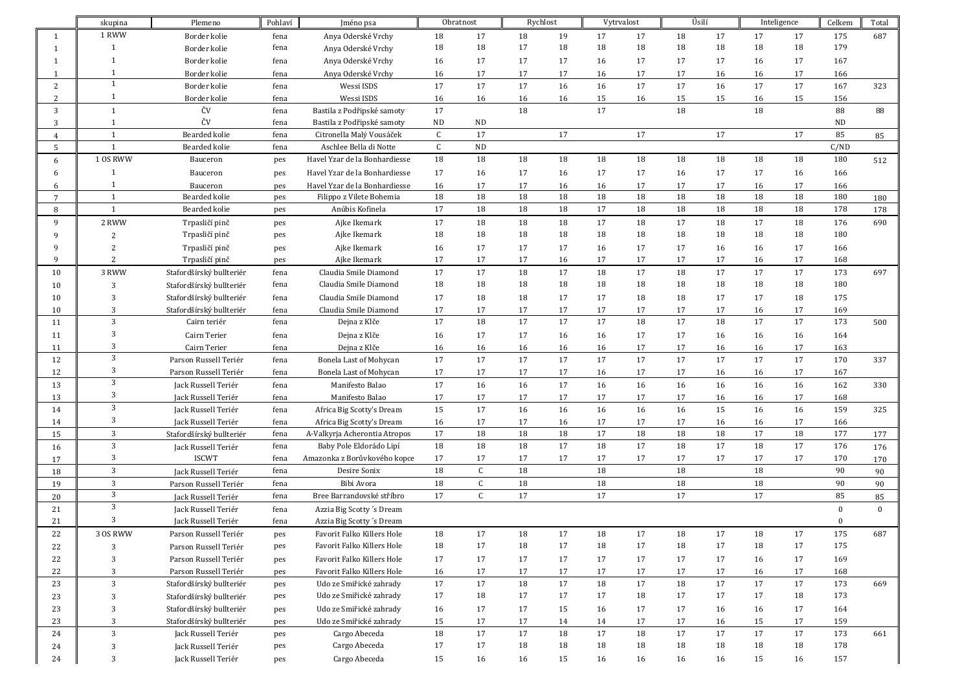|                 | skupina        | Plemeno                  | Pohlaví | Jméno psa                     |              | Obratnost   | Rychlost |        | Vytrvalost |        |        | Úsilí | Inteligence |        | Celkem    | Total        |
|-----------------|----------------|--------------------------|---------|-------------------------------|--------------|-------------|----------|--------|------------|--------|--------|-------|-------------|--------|-----------|--------------|
| $\mathbf{1}$    | 1 RWW          | Border kolie             | fena    | Anya Oderské Vrchy            | 18           | 17          | 18       | 19     | 17         | 17     | 18     | 17    | 17          | 17     | 175       | 687          |
| 1               | 1              | Border kolie             | fena    | Anya Oderské Vrchy            | 18           | 18          | 17       | 18     | 18         | 18     | 18     | 18    | 18          | 18     | 179       |              |
|                 | -1             | Border kolie             | fena    | Anya Oderské Vrchy            | 16           | 17          | 17       | 17     | 16         | 17     | 17     | 17    | 16          | 17     | 167       |              |
|                 | 1              | Border kolie             | fena    | Anya Oderské Vrchy            | 16           | 17          | 17       | 17     | 16         | 17     | 17     | 16    | 16          | 17     | 166       |              |
| 2               | $\mathbf{1}$   | Border kolie             | fena    | Wessi ISDS                    | 17           | 17          | 17       | 16     | 16         | 17     | 17     | 16    | 17          | 17     | 167       | 323          |
| 2               | 1              | Border kolie             | fena    | Wessi ISDS                    | 16           | 16          | 16       | 16     | 15         | 16     | 15     | 15    | 16          | 15     | 156       |              |
| 3               | $\mathbf{1}$   | ČV                       | fena    | Bastila z Podřipské samoty    | 17           |             | 18       |        | 17         |        | 18     |       | 18          |        | 88        | 88           |
| 3               | 1              | ČV                       | fena    | Bastila z Podřipské samoty    | <b>ND</b>    | ND          |          |        |            |        |        |       |             |        | <b>ND</b> |              |
| $\overline{4}$  | $\mathbf{1}$   | <b>Bearded kolie</b>     | fena    | Citronella Malý Vousáček      | $\mathsf{C}$ | 17          |          | 17     |            | 17     |        | 17    |             | 17     | 85        | 85           |
| 5               | $\mathbf{1}$   | Bearded kolie            | fena    | Aschlee Bella di Notte        | $\mathsf{C}$ | ND          |          |        |            |        |        |       |             |        | C/ND      |              |
| 6               | 1 OS RWW       | Bauceron                 | pes     | Havel Yzar de la Bonhardiesse | 18           | 18          | 18       | 18     | 18         | 18     | 18     | 18    | 18          | 18     | 180       | 512          |
| 6               | 1              | Bauceron                 | pes     | Havel Yzar de la Bonhardiesse | 17           | 16          | 17       | 16     | 17         | 17     | 16     | 17    | 17          | 16     | 166       |              |
| 6               | 1              | Bauceron                 | pes     | Havel Yzar de la Bonhardiesse | 16           | 17          | 17       | 16     | 16         | 17     | 17     | 17    | 16          | 17     | 166       |              |
| $7\overline{ }$ | $\mathbf{1}$   | Bearded kolie            | pes     | Filippo z Vilete Bohemia      | 18           | 18          | 18       | 18     | 18         | 18     | 18     | 18    | 18          | 18     | 180       | 180          |
| 8               | $\mathbf{1}$   | Bearded kolie            | pes     | Anúbis Kofinela               | 17           | 18          | 18       | 18     | 17         | $18\,$ | 18     | 18    | 18          | 18     | 178       | 178          |
| 9               | 2 RWW          | Trpasličí pinč           | pes     | Ajke Ikemark                  | 17           | 18          | 18       | 18     | 17         | 18     | 17     | 18    | 17          | 18     | 176       | 690          |
| 9               | 2              | Trpasličí pinč           | pes     | Ajke Ikemark                  | 18           | 18          | 18       | 18     | 18         | 18     | 18     | 18    | 18          | 18     | 180       |              |
| q               | $\overline{2}$ | Trpasličí pinč           | pes     | Ajke Ikemark                  | 16           | 17          | 17       | 17     | 16         | 17     | 17     | 16    | 16          | 17     | 166       |              |
| q               | 2              | Trpasličí pinč           | pes     | Ajke Ikemark                  | 17           | 17          | 17       | 16     | 17         | 17     | 17     | 17    | 16          | 17     | 168       |              |
| 10              | 3 RWW          | Stafordšírský bullteriér | fena    | Claudia Smile Diamond         | 17           | 17          | 18       | 17     | 18         | 17     | 18     | 17    | 17          | $17\,$ | 173       | 697          |
| 10              | 3              | Stafordšírský bullteriér | fena    | Claudia Smile Diamond         | 18           | 18          | 18       | 18     | 18         | 18     | 18     | 18    | 18          | 18     | 180       |              |
| 10              |                | Stafordšírský bullteriér | fena    | Claudia Smile Diamond         | 17           | 18          | 18       | 17     | 17         | 18     | 18     | 17    | 17          | 18     | 175       |              |
| 10              |                | Stafordšírský bullteriér | fena    | Claudia Smile Diamond         | 17           | 17          | 17       | 17     | 17         | 17     | 17     | 17    | 16          | 17     | 169       |              |
| 11              | 3              | Cairn teriér             | fena    | Dejna z Klče                  | 17           | 18          | 17       | 17     | 17         | 18     | 17     | 18    | 17          | 17     | 173       | 500          |
| 11              | 3              | Cairn Terier             | fena    | Dejna z Klče                  | 16           | 17          | 17       | 16     | 16         | 17     | 17     | 16    | 16          | 16     | 164       |              |
| 11              | 3              | Cairn Terier             | fena    | Dejna z Klče                  | 16           | 16          | 16       | 16     | 16         | 17     | 17     | 16    | 16          | 17     | 163       |              |
| 12              | 3              | Parson Russell Teriér    | fena    | Bonela Last of Mohycan        | 17           | 17          | 17       | 17     | 17         | 17     | 17     | 17    | 17          | 17     | 170       | 337          |
| 12              | 3              | Parson Russell Teriér    | fena    | Bonela Last of Mohycan        | 17           | 17          | 17       | 17     | 16         | 17     | 17     | 16    | 16          | 17     | 167       |              |
| 13              | 3              | Jack Russell Teriér      | fena    | Manifesto Balao               | 17           | 16          | 16       | 17     | 16         | 16     | 16     | 16    | 16          | 16     | 162       | 330          |
| 13              | 3              | Jack Russell Teriér      | fena    | Manifesto Balao               | 17           | 17          | 17       | 17     | 17         | 17     | 17     | 16    | 16          | 17     | 168       |              |
| 14              | 3              | Jack Russell Teriér      | fena    | Africa Big Scotty's Dream     | 15           | 17          | 16       | 16     | 16         | 16     | 16     | 15    | 16          | 16     | 159       | 325          |
| 14              | 3              | Jack Russell Teriér      | fena    | Africa Big Scotty's Dream     | 16           | 17          | 17       | 16     | 17         | 17     | 17     | 16    | 16          | 17     | 166       |              |
| 15              | 3              | Stafordšírský bullteriér | fena    | A-Valkyrja Acherontia Atropos | 17           | 18          | 18       | 18     | 17         | 18     | 18     | 18    | 17          | 18     | 177       | 177          |
| 16              | 3              | Jack Russell Teriér      | fena    | Baby Pole Eldorádo Lipí       | 18           | 18          | 18       | 17     | 18         | 17     | 18     | 17    | 18          | 17     | 176       | 176          |
| 17              | 3              | <b>ISCWT</b>             | fena    | Amazonka z Borůvkového kopce  | 17           | 17          | 17       | 17     | 17         | 17     | 17     | 17    | 17          | 17     | 170       | 170          |
| 18              | 3              | Jack Russell Teriér      | fena    | Desire Sonix                  | 18           | $\mathsf C$ | 18       |        | 18         |        | 18     |       | 18          |        | 90        | 90           |
| 19              | 3              | Parson Russell Teriér    | fena    | Bibi Avora                    | 18           | $\mathsf C$ | 18       |        | 18         |        | 18     |       | 18          |        | 90        | 90           |
| 20              | 3              | Jack Russell Teriér      | fena    | Bree Barrandovské stříbro     | 17           | C           | 17       |        | 17         |        | 17     |       | 17          |        | 85        | 85           |
| 21              | 3              | Jack Russell Teriér      | fena    | Azzia Big Scotty's Dream      |              |             |          |        |            |        |        |       |             |        | $\theta$  | $\mathbf{0}$ |
| 21              | 3              | Jack Russell Teriér      | fena    | Azzia Big Scotty's Dream      |              |             |          |        |            |        |        |       |             |        | $\theta$  |              |
| 22              | 3 OS RWW       | Parson Russell Teriér    | pes     | Favorit Falko Killers Hole    | 18           | 17          | 18       | 17     | 18         | 17     | 18     | 17    | 18          | 17     | 175       | 687          |
| 22              | 3              | Parson Russell Teriér    | pes     | Favorit Falko Killers Hole    | 18           | 17          | 18       | 17     | 18         | 17     | 18     | 17    | 18          | 17     | 175       |              |
| 22              | 3              | Parson Russell Teriér    | pes     | Favorit Falko Killers Hole    | 17           | 17          | 17       | 17     | 17         | 17     | 17     | 17    | 16          | 17     | 169       |              |
| 22              | 3              | Parson Russell Teriér    | pes     | Favorit Falko Killers Hole    | 16           | 17          | 17       | 17     | 17         | 17     | 17     | 17    | 16          | 17     | 168       |              |
| 23              | 3              | Stafordšírský bullteriér | pes     | Udo ze Smiřické zahrady       | 17           | $17\,$      | 18       | $17\,$ | $18\,$     | 17     | $18\,$ | 17    | $17\,$      | $17\,$ | 173       | 669          |
| 23              | 3              | Stafordšírský bullteriér | pes     | Udo ze Smiřické zahrady       | 17           | 18          | 17       | 17     | 17         | 18     | 17     | 17    | 17          | 18     | 173       |              |
| 23              | 3              | Stafordšírský bullteriér | pes     | Udo ze Smiřické zahrady       | 16           | 17          | 17       | 15     | 16         | 17     | 17     | 16    | 16          | 17     | 164       |              |
| 23              |                | Stafordšírský bullteriér | pes     | Udo ze Smiřické zahrady       | 15           | 17          | 17       | 14     | 14         | 17     | 17     | 16    | 15          | 17     | 159       |              |
| 24              | 3              | Jack Russell Teriér      | pes     | Cargo Abeceda                 | 18           | 17          | 17       | 18     | 17         | 18     | 17     | 17    | 17          | 17     | 173       | 661          |
| 24              | 3              | Jack Russell Teriér      | pes     | Cargo Abeceda                 | 17           | 17          | 18       | 18     | 18         | 18     | 18     | 18    | 18          | 18     | 178       |              |
| 24              | 3              | Jack Russell Teriér      | pes     | Cargo Abeceda                 | 15           | 16          | 16       | 15     | 16         | 16     | 16     | 16    | 15          | 16     | 157       |              |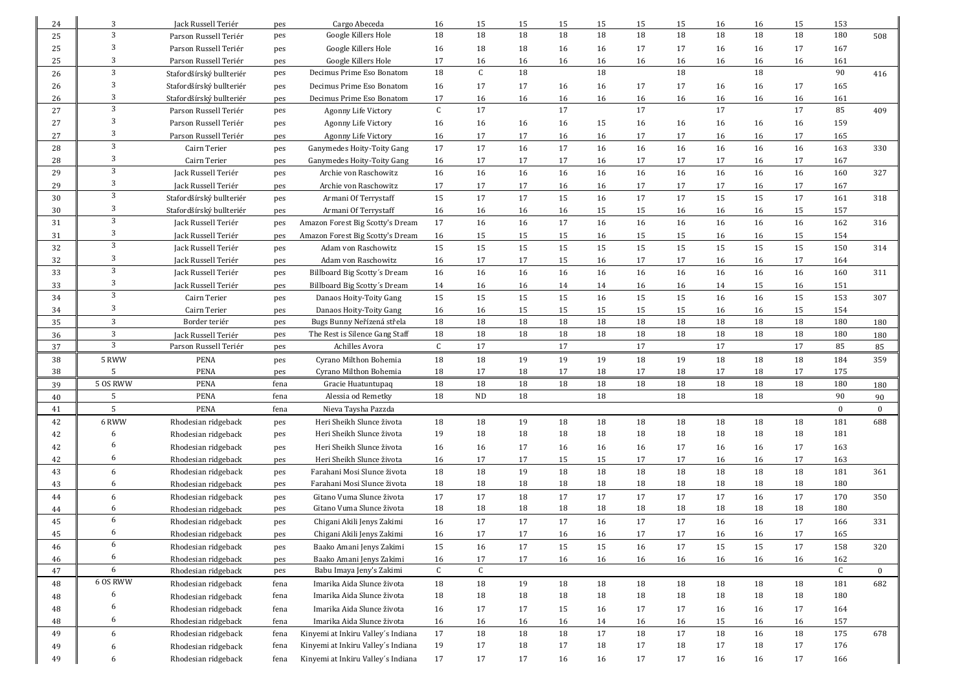| 24       | 3          | Jack Russell Teriér                        |            | Cargo Abeceda                                                            | 16           | 15           | 15       | 15       | 15       | 15       | 15       | 16       | 16       | 15       | 153          |          |
|----------|------------|--------------------------------------------|------------|--------------------------------------------------------------------------|--------------|--------------|----------|----------|----------|----------|----------|----------|----------|----------|--------------|----------|
| 25       | 3          | Parson Russell Teriér                      | pes<br>pes | Google Killers Hole                                                      | 18           | 18           | 18       | 18       | 18       | 18       | 18       | 18       | 18       | 18       | 180          | 508      |
| 25       | 3          | Parson Russell Teriér                      |            | Google Killers Hole                                                      | 16           | 18           | 18       | 16       | 16       | 17       | 17       | 16       | 16       | 17       | 167          |          |
| 25       | 3          | Parson Russell Teriér                      | pes<br>pes | Google Killers Hole                                                      | 17           | 16           | 16       | 16       | 16       | 16       | 16       | 16       | 16       | 16       | 161          |          |
| 26       | 3          | Stafordšírský bullteriér                   | pes        | Decimus Prime Eso Bonatom                                                | 18           | $\mathsf{C}$ | 18       |          | 18       |          | 18       |          | 18       |          | 90           | 416      |
| 26       | 3          | Stafordšírský bullteriér                   | pes        | Decimus Prime Eso Bonatom                                                | 16           | 17           | 17       | 16       | 16       | 17       | 17       | 16       | 16       | 17       | 165          |          |
| 26       | 3          | Stafordšírský bullteriér                   | pes        | Decimus Prime Eso Bonatom                                                | 17           | 16           | 16       | 16       | 16       | 16       | 16       | 16       | 16       | 16       | 161          |          |
| 27       | $\sqrt{3}$ | Parson Russell Teriér                      | pes        | Agonny Life Victory                                                      | $\mathsf{C}$ | 17           |          | 17       |          | 17       |          | 17       |          | 17       | 85           | 409      |
| 27       | 3          | Parson Russell Teriér                      | pes        | Agonny Life Victory                                                      | 16           | 16           | 16       | 16       | 15       | 16       | 16       | 16       | 16       | 16       | 159          |          |
| 27       | 3          | Parson Russell Teriér                      | pes        | Agonny Life Victory                                                      | 16           | 17           | 17       | 16       | 16       | 17       | 17       | 16       | 16       | 17       | 165          |          |
| 28       | 3          | Cairn Terier                               | pes        | Ganymedes Hoity-Toity Gang                                               | 17           | 17           | 16       | 17       | 16       | 16       | 16       | 16       | 16       | 16       | 163          | 330      |
| 28       | 3          | Cairn Terier                               | pes        | Ganymedes Hoity-Toity Gang                                               | 16           | 17           | 17       | 17       | 16       | 17       | 17       | 17       | 16       | 17       | 167          |          |
| 29       | 3          | Jack Russell Teriér                        | pes        | Archie von Raschowitz                                                    | 16           | 16           | 16       | 16       | 16       | 16       | 16       | 16       | 16       | 16       | 160          | 327      |
| 29       | 3          | Jack Russell Teriér                        | pes        | Archie von Raschowitz                                                    | 17           | 17           | 17       | 16       | 16       | 17       | 17       | 17       | 16       | 17       | 167          |          |
| 30       | 3          | Stafordšírský bullteriér                   | pes        | Armani Of Terrystaff                                                     | 15           | 17           | 17       | 15       | 16       | 17       | 17       | 15       | 15       | 17       | 161          | 318      |
| 30       | 3          | Stafordšírský bullteriér                   | pes        | Armani Of Terrystaff                                                     | 16           | 16           | 16       | 16       | 15       | 15       | 16       | 16       | 16       | 15       | 157          |          |
| 31       | 3          | Jack Russell Teriér                        | pes        | Amazon Forest Big Scotty's Dream                                         | 17           | 16           | 16       | 17       | 16       | 16       | 16       | 16       | 16       | 16       | 162          | 316      |
| 31       | 3          | Jack Russell Teriér                        | pes        | Amazon Forest Big Scotty's Dream                                         | 16           | 15           | 15       | 15       | 16       | 15       | 15       | 16       | 16       | 15       | 154          |          |
| 32       | 3          | Jack Russell Teriér                        | pes        | Adam von Raschowitz                                                      | 15           | 15           | 15       | 15       | 15       | 15       | 15       | 15       | 15       | 15       | 150          | 314      |
| 32       | 3          | Jack Russell Teriér                        | pes        | Adam von Raschowitz                                                      | 16           | 17           | 17       | 15       | 16       | 17       | 17       | 16       | 16       | 17       | 164          |          |
| 33       | 3          | Jack Russell Teriér                        | pes        | Billboard Big Scotty's Dream                                             | 16           | 16           | 16       | 16       | 16       | 16       | 16       | 16       | 16       | 16       | 160          | 311      |
| 33       | 3          | Jack Russell Teriér                        | pes        | Billboard Big Scotty's Dream                                             | 14           | 16           | 16       | 14       | 14       | 16       | 16       | 14       | 15       | 16       | 151          |          |
| 34       | 3          | Cairn Terier                               | pes        | Danaos Hoity-Toity Gang                                                  | 15           | 15           | 15       | 15       | 16       | 15       | 15       | 16       | 16       | 15       | 153          | 307      |
| 34       | 3          | Cairn Terier                               | pes        | Danaos Hoity-Toity Gang                                                  | 16           | 16           | 15       | 15       | 15       | 15       | 15       | 16       | 16       | 15       | 154          |          |
| 35       | 3          | Border teriér                              | pes        | Bugs Bunny Neřízená střela                                               | 18           | 18           | 18       | 18       | 18       | 18       | 18       | 18       | 18       | 18       | 180          | 180      |
| 36       | 3          | Jack Russell Teriér                        | pes        | The Rest is Silence Gang Staff                                           | 18           | 18           | 18       | 18       | 18       | 18       | 18       | 18       | 18       | 18       | 180          | 180      |
| 37       | 3          |                                            |            | Achilles Avora                                                           | $\mathsf{C}$ | 17           |          | 17       |          | 17       |          | 17       |          | 17       | 85           | 85       |
|          |            | Parson Russell Teriér                      | pes        |                                                                          |              |              |          |          |          |          |          |          |          |          |              |          |
| 38       | 5 RWW      | PENA                                       | pes        | Cyrano Milthon Bohemia                                                   | 18           | 18           | 19       | 19       | 19       | 18       | 19       | 18       | 18       | 18       | 184          | 359      |
| 38       | 5          | <b>PENA</b>                                | pes        | Cyrano Milthon Bohemia                                                   | 18           | 17           | 18       | 17       | 18       | 17       | 18       | 17       | 18       | 17       | 175          |          |
| 39       | 5 OS RWW   | <b>PENA</b>                                | fena       | Gracie Huatuntupaq                                                       | 18           | 18           | 18       | 18       | 18       | 18       | 18       | 18       | 18       | 18       | 180          | 180      |
| 40       | 5          | <b>PENA</b>                                | fena       | Alessia od Remetky                                                       | 18           | <b>ND</b>    | 18       |          | 18       |          | 18       |          | 18       |          | 90           | 90       |
| 41       | 5          | <b>PENA</b>                                | fena       | Nieva Taysha Pazzda                                                      |              |              |          |          |          |          |          |          |          |          | $\mathbf{0}$ | $\bf{0}$ |
| 42       | 6 RWW      | Rhodesian ridgeback                        | pes        | Heri Sheikh Slunce života                                                | 18           | 18           | 19       | 18       | 18       | 18       | 18       | 18       | 18       | 18       | 181          | 688      |
| 42       | 6          | Rhodesian ridgeback                        | pes        | Heri Sheikh Slunce života                                                | 19           | 18           | 18       | 18       | 18       | 18       | 18       | 18       | 18       | 18       | 181          |          |
| 42       | 6          | Rhodesian ridgeback                        | pes        | Heri Sheikh Slunce života                                                | 16           | 16           | 17       | 16       | 16       | 16       | 17       | 16       | 16       | 17       | 163          |          |
| 42       | 6          | Rhodesian ridgeback                        | pes        | Heri Sheikh Slunce života                                                | 16           | 17           | 17       | 15       | 15       | 17       | 17       | 16       | 16       | 17       | 163          |          |
| 43       | 6          | Rhodesian ridgeback                        | pes        | Farahani Mosi Slunce života                                              | 18           | 18           | 19       | 18       | 18       | 18       | 18       | 18       | 18       | 18       | 181          | 361      |
| 43       | 6          | Rhodesian ridgeback                        | pes        | Farahani Mosi Slunce života                                              | 18           | 18           | 18       | 18       | 18       | 18       | 18       | 18       | 18       | 18       | 180          |          |
| 44       | 6          | Rhodesian ridgeback                        | pes        | Gitano Vuma Slunce života                                                | 17           | 17           | 18       | 17       | 17       | 17       | 17       | 17       | 16       | 17       | 170          | 350      |
| 44       | 6          | Rhodesian ridgeback                        | pes        | Gitano Vuma Slunce života                                                | 18           | 18           | 18       | 18       | 18       | 18       | 18       | 18       | 18       | 18       | 180          |          |
| 45       | 6          | Rhodesian ridgeback                        | pes        | Chigani Akili Jenys Zakimi                                               | 16           | 17           | 17       | 17       | 16       | 17       | 17       | 16       | 16       | 17       | 166          | 331      |
| 45       | 6          | Rhodesian ridgeback                        | pes        | Chigani Akili Jenys Zakimi                                               | 16           | 17           | 17       | 16       | 16       | 17       | 17       | 16       | 16       | 17       | 165          |          |
| 46       | 6          | Rhodesian ridgeback                        | pes        | Baako Amani Jenys Zakimi                                                 | 15           | 16           | 17       | 15       | 15       | 16       | $17\,$   | 15       | 15       | 17       | 158          | 320      |
| 46       | 6          | Rhodesian ridgeback                        | pes        | Baako Amani Jenys Zakimi                                                 | 16           | 17           | 17       | 16       | 16       | 16       | 16       | 16       | 16       | 16       | 162          |          |
| 47       | 6          | Rhodesian ridgeback                        | pes        | Babu Imaya Jeny's Zakimi                                                 | $\mathsf C$  | $\mathsf{C}$ |          |          |          |          |          |          |          |          | $\mathsf{C}$ | $\bf{0}$ |
| 48       | 6 OS RWW   | Rhodesian ridgeback                        | fena       | Imarika Aida Slunce života                                               | 18           | 18           | 19       | 18       | 18       | 18       | 18       | 18       | 18       | 18       | 181          | 682      |
| 48       | 6          | Rhodesian ridgeback                        | fena       | Imarika Aida Slunce života                                               | 18           | 18           | 18       | 18       | 18       | 18       | 18       | 18       | 18       | 18       | 180          |          |
| 48       | 6          | Rhodesian ridgeback                        | fena       | Imarika Aida Slunce života                                               | 16           | 17           | 17       | 15       | 16       | 17       | 17       | 16       | 16       | 17       | 164          |          |
| 48       | 6          | Rhodesian ridgeback                        | fena       | Imarika Aida Slunce života                                               | 16           | 16           | 16       | 16       | 14       | 16       | 16       | 15       | 16       | 16       | 157          |          |
| 49       | 6          | Rhodesian ridgeback                        | fena       | Kinyemi at Inkiru Valley's Indiana                                       | 17           | 18           | $18\,$   | 18       | 17       | 18       | 17       | 18       | 16       | 18       | 175          | 678      |
| 49<br>49 | 6<br>6     | Rhodesian ridgeback<br>Rhodesian ridgeback | fena       | Kinyemi at Inkiru Valley's Indiana<br>Kinyemi at Inkiru Valley's Indiana | 19<br>17     | 17<br>17     | 18<br>17 | 17<br>16 | 18<br>16 | 17<br>17 | 18<br>17 | 17<br>16 | 18<br>16 | 17<br>17 | 176<br>166   |          |

 $\mathbf{r}$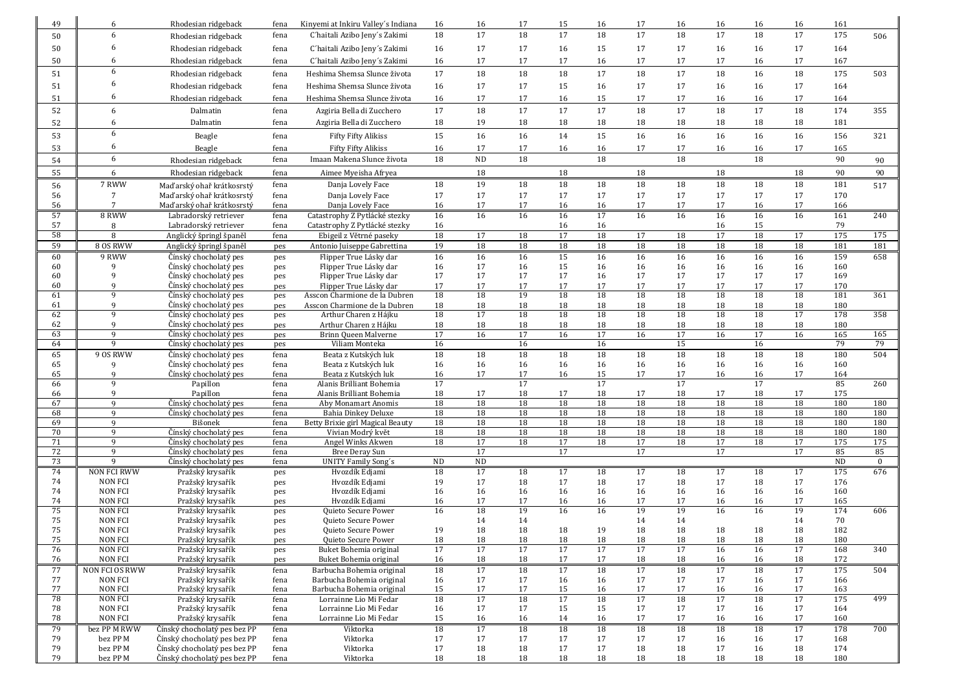| 49       | 6                                | Rhodesian ridgeback                                          | fena         | Kinyemi at Inkiru Valley's Indiana                             | 16        | 16       | 17              | 15       | 16              | 17              | 16              | 16              | 16       | 16       | 161        |            |
|----------|----------------------------------|--------------------------------------------------------------|--------------|----------------------------------------------------------------|-----------|----------|-----------------|----------|-----------------|-----------------|-----------------|-----------------|----------|----------|------------|------------|
| 50       | 6                                | Rhodesian ridgeback                                          | fena         | C'haitali Azibo Jeny's Zakimi                                  | 18        | 17       | 18              | 17       | 18              | 17              | 18              | 17              | 18       | 17       | 175        | 506        |
| 50       | 6                                | Rhodesian ridgeback                                          | fena         | C'haitali Azibo Jeny's Zakimi                                  | 16        | 17       | 17              | 16       | 15              | 17              | 17              | 16              | 16       | 17       | 164        |            |
| 50       | 6                                | Rhodesian ridgeback                                          | fena         | C'haitali Azibo Jeny's Zakimi                                  | 16        | 17       | 17              | 17       | 16              | 17              | 17              | 17              | 16       | 17       | 167        |            |
|          | 6                                |                                                              |              | Heshima Shemsa Slunce života                                   | 17        | 18       | 18              | 18       | 17              | 18              | 17              | 18              | 16       | 18       |            |            |
| 51       | 6                                | Rhodesian ridgeback                                          | fena         |                                                                |           |          |                 |          |                 |                 |                 |                 |          |          | 175        | 503        |
| 51       | 6                                | Rhodesian ridgeback                                          | fena         | Heshima Shemsa Slunce života                                   | 16        | 17       | 17              | 15       | 16              | 17              | 17              | 16              | 16       | 17       | 164        |            |
| 51       |                                  | Rhodesian ridgeback                                          | fena         | Heshima Shemsa Slunce života                                   | 16        | 17       | 17              | 16       | 15              | 17              | 17              | 16              | 16       | 17       | 164        |            |
| 52       | 6                                | Dalmatin                                                     | fena         | Azgiria Bella di Zucchero                                      | 17        | 18       | 17              | 17       | 17              | 18              | 17              | 18              | 17       | 18       | 174        | 355        |
| 52       | 6                                | Dalmatin                                                     | fena         | Azgiria Bella di Zucchero                                      | 18        | 19       | 18              | 18       | 18              | 18              | 18              | 18              | 18       | 18       | 181        |            |
| 53       | 6                                | Beagle                                                       | fena         | <b>Fifty Fifty Alikiss</b>                                     | 15        | 16       | 16              | 14       | 15              | 16              | 16              | 16              | 16       | 16       | 156        | 321        |
| 53       | 6                                | Beagle                                                       | fena         | <b>Fifty Fifty Alikiss</b>                                     | 16        | 17       | 17              | 16       | 16              | 17              | 17              | 16              | 16       | 17       | 165        |            |
| 54       | 6                                | Rhodesian ridgeback                                          | fena         | Imaan Makena Slunce života                                     | 18        | $\rm ND$ | 18              |          | 18              |                 | 18              |                 | 18       |          | 90         | 90         |
| 55       | 6                                | Rhodesian ridgeback                                          | fena         | Aimee Myeisha Afryea                                           |           | 18       |                 | 18       |                 | 18              |                 | 18              |          | 18       | 90         | 90         |
| 56       | 7 RWW                            | Maďarský ohař krátkosrstý                                    | fena         | Danja Lovely Face                                              | 18        | 19       | 18              | 18       | 18              | $\overline{18}$ | 18              | 18              | 18       | 18       | 181        | 517        |
| 56       | $7\overline{ }$                  | Maďarský ohař krátkosrstý                                    | fena         | Danja Lovely Face                                              | 17        | 17       | 17              | 17       | 17              | 17              | 17              | 17              | 17       | 17       | 170        |            |
| 56       | $7\phantom{.0}$                  | Maďarský ohař krátkosrstý                                    | fena         | Danja Lovely Face                                              | 16        | 17       | 17              | 16       | 16              | 17              | 17              | 17              | 16       | 17       | 166        |            |
| 57       | 8 RWW                            | Labradorský retriever                                        | fena         | Catastrophy Z Pytlácké stezky                                  | 16        | 16       | 16              | 16       | 17              | 16              | 16              | 16              | 16       | 16       | 161        | 240        |
| 57<br>58 | 8<br>8                           | Labradorský retriever<br>Anglický špringl španěl             | fena<br>fena | Catastrophy Z Pytlácké stezky<br>Ebigeil z Větrné paseky       | 16<br>18  | 17       | 18              | 16<br>17 | 16<br>18        | 17              | 18              | 16<br>17        | 15<br>18 | 17       | 79<br>175  | 175        |
| 59       | 8 OS RWW                         | Anglický špringl španěl                                      | pes          | Antonio Juiseppe Gabrettina                                    | 19        | 18       | 18              | 18       | 18              | 18              | 18              | 18              | 18       | 18       | 181        | 181        |
| 60       | 9 RWW                            | Čínský chocholatý pes                                        | pes          | Flipper True Lásky dar                                         | 16        | 16       | 16              | 15       | 16              | 16              | 16              | 16              | 16       | 16       | 159        | 658        |
| 60       |                                  | Čínský chocholatý pes                                        | pes          | Flipper True Lásky dar                                         | 16        | 17       | 16              | 15       | 16              | 16              | 16              | 16              | 16       | 16       | 160        |            |
| 60       | 9                                | Čínský chocholatý pes                                        | pes          | Flipper True Lásky dar                                         | 17        | 17       | 17              | 17       | 16              | 17              | 17              | 17              | 17       | 17       | 169        |            |
| 60       | q                                | Čínský chocholatý pes                                        | pes          | Flipper True Lásky dar                                         | 17        | 17       | 17              | 17       | 17              | 17              | 17              | 17              | 17<br>18 | 17       | 170        |            |
| 61<br>61 | 9<br>9                           | Čínský chocholatý pes<br>Čínský chocholatý pes               | pes<br>pes   | Asscon Charmione de la Dubren<br>Asscon Charmione de la Dubren | 18<br>18  | 18<br>18 | 19<br>18        | 18<br>18 | 18<br>18        | 18<br>18        | 18<br>18        | 18<br>18        | 18       | 18<br>18 | 181<br>180 | 361        |
| 62       | 9                                | Čínský chocholatý pes                                        | pes          | Arthur Charen z Hájku                                          | 18        | 17       | 18              | 18       | 18              | 18              | 18              | 18              | 18       | 17       | 178        | 358        |
| 62       | 9                                | Cínský chocholatý pes                                        | pes          | Arthur Charen z Hájku                                          | 18        | 18       | 18              | 18       | 18              | 18              | 18              | 18              | 18       | 18       | 180        |            |
| 63       | 9                                | Čínský chocholatý pes                                        | pes          | Brinn Queen Malverne                                           | 17        | 16       | 17              | 16       | 17              | 16              | 17              | 16              | 17       | 16       | 165        | 165        |
| 64       | q                                | Čínský chocholatý pes                                        | pes          | Viliam Monteka                                                 | 16        |          | 16              |          | 16              |                 | 15              |                 | 16       |          | 79         | 79         |
| 65<br>65 | 9 OS RWW<br>9                    | Čínský chocholatý pes<br>Čínský chocholatý pes               | fena<br>fena | Beata z Kutských luk<br>Beata z Kutských luk                   | 18<br>16  | 18<br>16 | 18<br>16        | 18<br>16 | 18<br>16        | 18<br>16        | 18<br>16        | 18<br>16        | 18<br>16 | 18<br>16 | 180<br>160 | 504        |
| 65       | 9                                | Čínský chocholatý pes                                        | fena         | Beata z Kutských luk                                           | 16        | 17       | 17              | 16       | 15              | 17              | 17              | 16              | 16       | 17       | 164        |            |
| 66       | 9                                | Papillon                                                     | fena         | Alanis Brilliant Bohemia                                       | 17        |          | $\overline{17}$ |          | 17              |                 | $\overline{17}$ |                 | 17       |          | 85         | 260        |
| 66       | 9                                | Papillon                                                     | fena         | Alanis Brilliant Bohemia                                       | 18        | 17       | 18              | 17       | 18              | 17              | 18              | 17              | 18       | 17       | 175        |            |
| 67       | 9                                | Čínský chocholatý pes                                        |              |                                                                |           |          |                 | 18       | 18              | 18              | 18              |                 |          |          |            | 180        |
| 68<br>69 |                                  |                                                              | fena         | Aby Monamart Anomis                                            | 18        | 18       | 18              |          |                 |                 |                 | 18              | 18       | 18       | 180        |            |
|          | 9                                | Čínský chocholatý pes                                        | fena         | Bahia Dinkey Deluxe                                            | 18        | 18       | 18              | 18       | 18              | 18              | 18              | 18              | 18       | 18       | 180        | 180        |
|          | 9                                | Bišonek                                                      | fena         | Betty Brixie girl Magical Beauty                               | 18        | 18       | 18              | 18       | 18              | $\overline{18}$ | 18              | 18              | 18       | 18       | 180        | 180        |
| 70<br>71 | 9<br>9                           | Čínský chocholatý pes<br>Čínský chocholatý pes               | fena<br>fena | Vivian Modrý květ<br>Angel Winks Akwen                         | 18<br>18  | 18<br>17 | 18<br>18        | 18<br>17 | 18<br>18        | 18<br>17        | 18<br>18        | 18<br>17        | 18<br>18 | 18<br>17 | 180<br>175 | 180<br>175 |
| 72       | $\overline{Q}$                   | Čínský chocholatý pes                                        | fena         | Bree Deray Sun                                                 |           | 17       |                 | 17       |                 | 17              |                 | 17              |          | 17       | 85         | 85         |
| 73       | $\mathbf{q}$                     | Čínský chocholatý pes                                        | fena         | <b>UNITY Family Song's</b>                                     | <b>ND</b> | ND       |                 |          |                 |                 |                 |                 |          |          | ND         | $\bf{0}$   |
| 74       | <b>NON FCI RWW</b>               | Pražský krysařík                                             | pes          | Hvozdík Edjami                                                 | 18        | 17       | 18              | 17       | 18              | 17              | 18              | 17              | 18       | 17       | 175        | 676        |
| 74       | <b>NON FCI</b>                   | Pražský krysařík                                             | pes          | Hvozdík Edjami                                                 | 19        | 17       | 18              | 17       | 18              | 17              | 18              | 17              | 18       | 17       | 176        |            |
| 74       | <b>NON FCI</b><br><b>NON FCI</b> | Pražský krysařík                                             | pes          | Hvozdík Edjami                                                 | 16<br>16  | 16<br>17 | 16<br>17        | 16<br>16 | 16<br>16        | 16              | 16<br>17        | 16<br>16        | 16<br>16 | 16<br>17 | 160        |            |
| 74<br>75 | <b>NON FCI</b>                   | Pražský krysařík<br>Pražský krysařík                         | pes<br>pes   | Hvozdík Edjami<br>Quieto Secure Power                          | 16        | 18       | 19              | 16       | 16              | 17<br>19        | 19              | 16              | 16       | 19       | 165<br>174 | 606        |
| 75       | <b>NON FCI</b>                   | Pražský krysařík                                             | pes          | Quieto Secure Power                                            |           | 14       | 14              |          |                 | 14              | 14              |                 |          | 14       | 70         |            |
| 75       | <b>NON FCI</b>                   | Pražský krysařík                                             | pes          | Quieto Secure Power                                            | 19        | 18       | $18\,$          | 18       | 19              | 18              | 18              | 18              | 18       | 18       | 182        |            |
| 75       | <b>NON FCI</b>                   | Pražský krysařík                                             | pes          | Quieto Secure Power                                            | 18        | 18       | $18\,$          | 18       | 18              | 18              | 18              | 18              | 18       | 18       | 180        |            |
| 76       | <b>NON FCI</b>                   | Pražský krysařík                                             | pes          | Buket Bohemia original                                         | 17        | 17       | 17              | 17       | 17              | $\overline{17}$ | 17              | 16              | 16       | 17       | 168        | 340        |
| 76<br>77 | <b>NON FCI</b><br>NON FCI OS RWW | Pražský krysařík<br>Pražský krysařík                         | pes<br>fena  | Buket Bohemia original<br>Barbucha Bohemia original            | 16<br>18  | 18<br>17 | 18<br>18        | 17<br>17 | 17<br>18        | 18<br>17        | 18<br>18        | 16<br>17        | 16<br>18 | 18<br>17 | 172<br>175 | 504        |
| 77       | <b>NON FCI</b>                   | Pražský krysařík                                             | fena         | Barbucha Bohemia original                                      | 16        | 17       | 17              | 16       | 16              | 17              | 17              | 17              | 16       | 17       | 166        |            |
| 77       | <b>NON FCI</b>                   | Pražský krysařík                                             | fena         | Barbucha Bohemia original                                      | 15        | 17       | 17              | 15       | 16              | 17              | 17              | 16              | 16       | 17       | 163        |            |
| 78       | <b>NON FCI</b>                   | Pražský krysařík                                             | fena         | Lorrainne Lio Mi Fedar                                         | 18        | 17       | 18              | 17       | $\overline{18}$ | 17              | 18              | $\overline{17}$ | 18       | 17       | 175        | 499        |
| 78       | NON FCI                          | Pražský krysařík                                             | fena         | Lorrainne Lio Mi Fedar                                         | 16        | 17       | 17              | 15       | 15              | 17              | 17              | 17              | 16       | 17       | 164        |            |
| 78       | NON FCI                          | Pražský krysařík<br>Čínský chocholatý pes bez PP             | fena         | Lorrainne Lio Mi Fedar<br>Viktorka                             | 15        | 16       | 16              | 14       | 16              | 17              | 17              | 16              | 16       | 17       | 160        | 700        |
| 79<br>79 | bez PP M RWW<br>bez PP M         | Čínský chocholatý pes bez PP                                 | fena<br>fena | Viktorka                                                       | 18<br>17  | 17<br>17 | 18<br>17        | 18<br>17 | 18<br>17        | 18<br>17        | 18<br>17        | 18<br>16        | 18<br>16 | 17<br>17 | 178<br>168 |            |
| 79<br>79 | bez PP M<br>bez PP M             | Čínský chocholatý pes bez PP<br>Čínský chocholatý pes bez PP | fena<br>fena | Viktorka<br>Viktorka                                           | 17<br>18  | 18<br>18 | 18<br>18        | 17<br>18 | 17<br>18        | 18<br>18        | 18<br>18        | 17<br>18        | 16<br>18 | 18<br>18 | 174<br>180 |            |